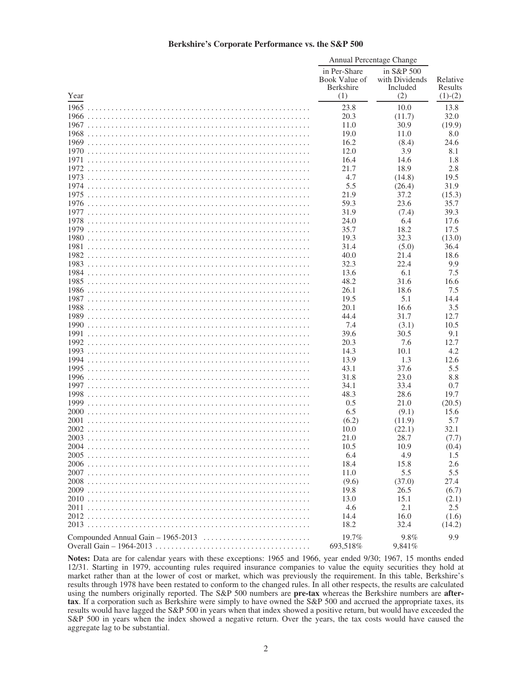|      | Annual Percentage Change                          |                                                 |                                  |
|------|---------------------------------------------------|-------------------------------------------------|----------------------------------|
| Year | in Per-Share<br>Book Value of<br>Berkshire<br>(1) | in S&P 500<br>with Dividends<br>Included<br>(2) | Relative<br>Results<br>$(1)-(2)$ |
|      | 23.8                                              | 10.0                                            | 13.8                             |
|      | 20.3                                              | (11.7)                                          | 32.0                             |
|      | 11.0                                              | 30.9                                            | (19.9)                           |
|      | 19.0                                              | 11.0                                            | 8.0                              |
|      | 16.2                                              | (8.4)                                           | 24.6                             |
|      | 12.0                                              | 3.9                                             | 8.1                              |
|      | 16.4                                              | 14.6                                            | 1.8                              |
|      | 21.7                                              | 18.9                                            | 2.8                              |
|      | 4.7                                               | (14.8)                                          | 19.5                             |
|      | 5.5                                               | (26.4)                                          | 31.9                             |
|      | 21.9                                              | 37.2                                            | (15.3)                           |
|      | 59.3                                              | 23.6                                            | 35.7                             |
|      | 31.9                                              | (7.4)                                           | 39.3                             |
|      | 24.0                                              | 6.4                                             | 17.6                             |
|      | 35.7<br>19.3                                      | 18.2<br>32.3                                    | 17.5<br>(13.0)                   |
|      | 31.4                                              | (5.0)                                           | 36.4                             |
|      | 40.0                                              | 21.4                                            | 18.6                             |
|      | 32.3                                              | 22.4                                            | 9.9                              |
|      | 13.6                                              | 6.1                                             | 7.5                              |
|      | 48.2                                              | 31.6                                            | 16.6                             |
|      | 26.1                                              | 18.6                                            | 7.5                              |
|      | 19.5                                              | 5.1                                             | 14.4                             |
|      | 20.1                                              | 16.6                                            | 3.5                              |
|      | 44.4                                              | 31.7                                            | 12.7                             |
|      | 7.4                                               | (3.1)                                           | 10.5                             |
|      | 39.6                                              | 30.5                                            | 9.1                              |
|      | 20.3                                              | 7.6                                             | 12.7                             |
|      | 14.3                                              | 10.1                                            | 4.2                              |
|      | 13.9                                              | 1.3                                             | 12.6                             |
|      | 43.1                                              | 37.6                                            | 5.5                              |
|      | 31.8                                              | 23.0                                            | 8.8                              |
|      | 34.1                                              | 33.4                                            | 0.7                              |
|      | 48.3                                              | 28.6                                            | 19.7                             |
|      | 0.5                                               | 21.0                                            | (20.5)                           |
|      | 6.5                                               | (9.1)                                           | 15.6                             |
|      | (6.2)                                             | (11.9)                                          | 5.7                              |
|      | 10.0                                              | (22.1)                                          | 32.1                             |
|      | 21.0                                              | 28.7                                            | (7.7)                            |
| 2004 | 10.5                                              | 10.9                                            | (0.4)                            |
|      | 6.4<br>18.4                                       | 4.9<br>15.8                                     | 1.5<br>2.6                       |
|      | 11.0                                              | 5.5                                             | 5.5                              |
|      | (9.6)                                             | (37.0)                                          | 27.4                             |
|      | 19.8                                              | 26.5                                            | (6.7)                            |
|      | 13.0                                              | 15.1                                            | (2.1)                            |
|      | 4.6                                               | 2.1                                             | 2.5                              |
|      | 14.4                                              | 16.0                                            | (1.6)                            |
|      | 18.2                                              | 32.4                                            | (14.2)                           |
|      | 19.7%<br>693,518%                                 | 9.8%<br>9,841%                                  | 9.9                              |

### **Berkshire's Corporate Performance vs. the S&P 500**

**Notes:** Data are for calendar years with these exceptions: 1965 and 1966, year ended 9/30; 1967, 15 months ended 12/31. Starting in 1979, accounting rules required insurance companies to value the equity securities they hold at market rather than at the lower of cost or market, which was previously the requirement. In this table, Berkshire's results through 1978 have been restated to conform to the changed rules. In all other respects, the results are calculated using the numbers originally reported. The S&P 500 numbers are **pre-tax** whereas the Berkshire numbers are **aftertax**. If a corporation such as Berkshire were simply to have owned the S&P 500 and accrued the appropriate taxes, its results would have lagged the S&P 500 in years when that index showed a positive return, but would have exceeded the S&P 500 in years when the index showed a negative return. Over the years, the tax costs would have caused the aggregate lag to be substantial.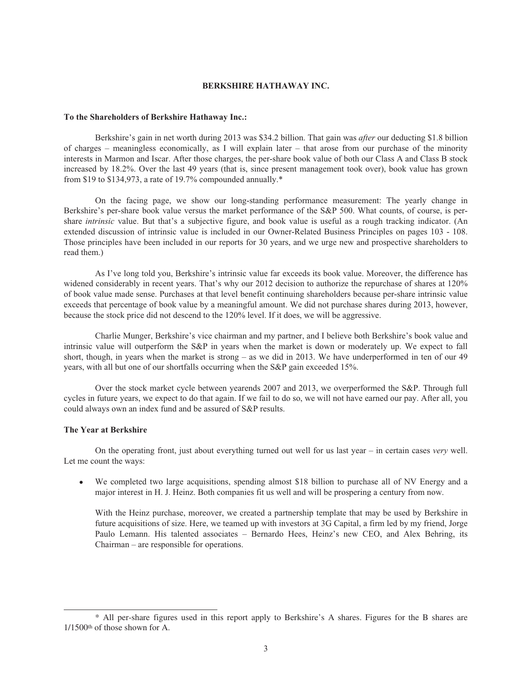## **BERKSHIRE HATHAWAY INC.**

### **To the Shareholders of Berkshire Hathaway Inc.:**

Berkshire's gain in net worth during 2013 was \$34.2 billion. That gain was *after* our deducting \$1.8 billion of charges – meaningless economically, as I will explain later – that arose from our purchase of the minority interests in Marmon and Iscar. After those charges, the per-share book value of both our Class A and Class B stock increased by 18.2%. Over the last 49 years (that is, since present management took over), book value has grown from \$19 to \$134,973, a rate of 19.7% compounded annually.\*

On the facing page, we show our long-standing performance measurement: The yearly change in Berkshire's per-share book value versus the market performance of the S&P 500. What counts, of course, is pershare *intrinsic* value. But that's a subjective figure, and book value is useful as a rough tracking indicator. (An extended discussion of intrinsic value is included in our Owner-Related Business Principles on pages 103 - 108. Those principles have been included in our reports for 30 years, and we urge new and prospective shareholders to read them.)

As I've long told you, Berkshire's intrinsic value far exceeds its book value. Moreover, the difference has widened considerably in recent years. That's why our 2012 decision to authorize the repurchase of shares at 120% of book value made sense. Purchases at that level benefit continuing shareholders because per-share intrinsic value exceeds that percentage of book value by a meaningful amount. We did not purchase shares during 2013, however, because the stock price did not descend to the 120% level. If it does, we will be aggressive.

Charlie Munger, Berkshire's vice chairman and my partner, and I believe both Berkshire's book value and intrinsic value will outperform the S&P in years when the market is down or moderately up. We expect to fall short, though, in years when the market is strong – as we did in 2013. We have underperformed in ten of our 49 years, with all but one of our shortfalls occurring when the S&P gain exceeded 15%.

Over the stock market cycle between yearends 2007 and 2013, we overperformed the S&P. Through full cycles in future years, we expect to do that again. If we fail to do so, we will not have earned our pay. After all, you could always own an index fund and be assured of S&P results.

# **The Year at Berkshire**

On the operating front, just about everything turned out well for us last year – in certain cases *very* well. Let me count the ways:

• We completed two large acquisitions, spending almost \$18 billion to purchase all of NV Energy and a major interest in H. J. Heinz. Both companies fit us well and will be prospering a century from now.

With the Heinz purchase, moreover, we created a partnership template that may be used by Berkshire in future acquisitions of size. Here, we teamed up with investors at 3G Capital, a firm led by my friend, Jorge Paulo Lemann. His talented associates – Bernardo Hees, Heinz's new CEO, and Alex Behring, its Chairman – are responsible for operations.

<sup>\*</sup> All per-share figures used in this report apply to Berkshire's A shares. Figures for the B shares are 1/1500th of those shown for A.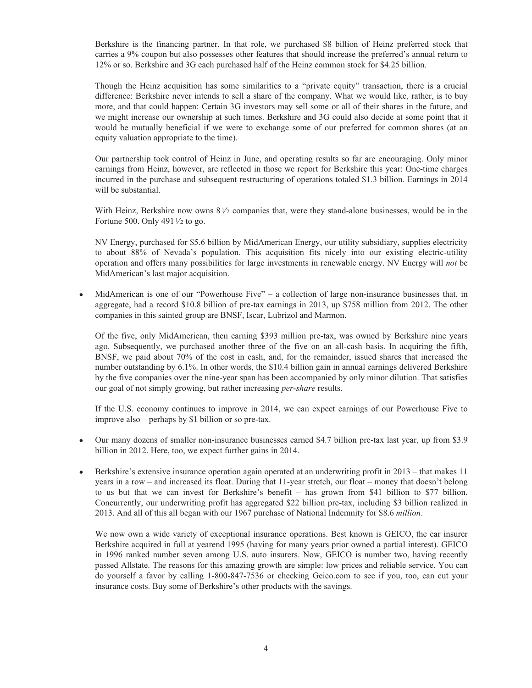Berkshire is the financing partner. In that role, we purchased \$8 billion of Heinz preferred stock that carries a 9% coupon but also possesses other features that should increase the preferred's annual return to 12% or so. Berkshire and 3G each purchased half of the Heinz common stock for \$4.25 billion.

Though the Heinz acquisition has some similarities to a "private equity" transaction, there is a crucial difference: Berkshire never intends to sell a share of the company. What we would like, rather, is to buy more, and that could happen: Certain 3G investors may sell some or all of their shares in the future, and we might increase our ownership at such times. Berkshire and 3G could also decide at some point that it would be mutually beneficial if we were to exchange some of our preferred for common shares (at an equity valuation appropriate to the time).

Our partnership took control of Heinz in June, and operating results so far are encouraging. Only minor earnings from Heinz, however, are reflected in those we report for Berkshire this year: One-time charges incurred in the purchase and subsequent restructuring of operations totaled \$1.3 billion. Earnings in 2014 will be substantial.

With Heinz, Berkshire now owns  $8\frac{1}{2}$  companies that, were they stand-alone businesses, would be in the Fortune 500. Only 491 $\frac{1}{2}$  to go.

NV Energy, purchased for \$5.6 billion by MidAmerican Energy, our utility subsidiary, supplies electricity to about 88% of Nevada's population. This acquisition fits nicely into our existing electric-utility operation and offers many possibilities for large investments in renewable energy. NV Energy will *not* be MidAmerican's last major acquisition.

 $\bullet$  MidAmerican is one of our "Powerhouse Five" – a collection of large non-insurance businesses that, in aggregate, had a record \$10.8 billion of pre-tax earnings in 2013, up \$758 million from 2012. The other companies in this sainted group are BNSF, Iscar, Lubrizol and Marmon.

Of the five, only MidAmerican, then earning \$393 million pre-tax, was owned by Berkshire nine years ago. Subsequently, we purchased another three of the five on an all-cash basis. In acquiring the fifth, BNSF, we paid about 70% of the cost in cash, and, for the remainder, issued shares that increased the number outstanding by 6.1%. In other words, the \$10.4 billion gain in annual earnings delivered Berkshire by the five companies over the nine-year span has been accompanied by only minor dilution. That satisfies our goal of not simply growing, but rather increasing *per-share* results.

If the U.S. economy continues to improve in 2014, we can expect earnings of our Powerhouse Five to improve also – perhaps by \$1 billion or so pre-tax.

- Our many dozens of smaller non-insurance businesses earned \$4.7 billion pre-tax last year, up from \$3.9 billion in 2012. Here, too, we expect further gains in 2014.
- $\bullet$  Berkshire's extensive insurance operation again operated at an underwriting profit in 2013 that makes 11 years in a row – and increased its float. During that 11-year stretch, our float – money that doesn't belong to us but that we can invest for Berkshire's benefit – has grown from \$41 billion to \$77 billion. Concurrently, our underwriting profit has aggregated \$22 billion pre-tax, including \$3 billion realized in 2013. And all of this all began with our 1967 purchase of National Indemnity for \$8.6 *million*.

We now own a wide variety of exceptional insurance operations. Best known is GEICO, the car insurer Berkshire acquired in full at yearend 1995 (having for many years prior owned a partial interest). GEICO in 1996 ranked number seven among U.S. auto insurers. Now, GEICO is number two, having recently passed Allstate. The reasons for this amazing growth are simple: low prices and reliable service. You can do yourself a favor by calling 1-800-847-7536 or checking Geico.com to see if you, too, can cut your insurance costs. Buy some of Berkshire's other products with the savings.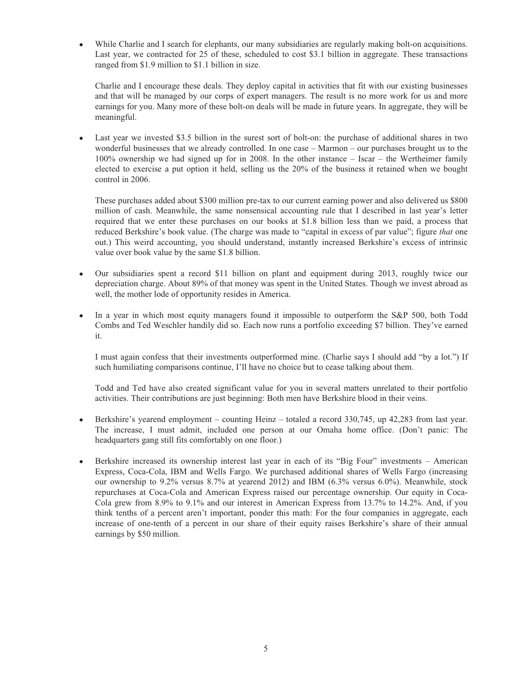While Charlie and I search for elephants, our many subsidiaries are regularly making bolt-on acquisitions. Last year, we contracted for 25 of these, scheduled to cost \$3.1 billion in aggregate. These transactions ranged from \$1.9 million to \$1.1 billion in size.

Charlie and I encourage these deals. They deploy capital in activities that fit with our existing businesses and that will be managed by our corps of expert managers. The result is no more work for us and more earnings for you. Many more of these bolt-on deals will be made in future years. In aggregate, they will be meaningful.

Last year we invested \$3.5 billion in the surest sort of bolt-on: the purchase of additional shares in two wonderful businesses that we already controlled. In one case – Marmon – our purchases brought us to the 100% ownership we had signed up for in 2008. In the other instance – Iscar – the Wertheimer family elected to exercise a put option it held, selling us the 20% of the business it retained when we bought control in 2006.

These purchases added about \$300 million pre-tax to our current earning power and also delivered us \$800 million of cash. Meanwhile, the same nonsensical accounting rule that I described in last year's letter required that we enter these purchases on our books at \$1.8 billion less than we paid, a process that reduced Berkshire's book value. (The charge was made to "capital in excess of par value"; figure *that* one out.) This weird accounting, you should understand, instantly increased Berkshire's excess of intrinsic value over book value by the same \$1.8 billion.

- Our subsidiaries spent a record \$11 billion on plant and equipment during 2013, roughly twice our depreciation charge. About 89% of that money was spent in the United States. Though we invest abroad as well, the mother lode of opportunity resides in America.
- In a year in which most equity managers found it impossible to outperform the S&P 500, both Todd Combs and Ted Weschler handily did so. Each now runs a portfolio exceeding \$7 billion. They've earned it.

I must again confess that their investments outperformed mine. (Charlie says I should add "by a lot.") If such humiliating comparisons continue, I'll have no choice but to cease talking about them.

Todd and Ted have also created significant value for you in several matters unrelated to their portfolio activities. Their contributions are just beginning: Both men have Berkshire blood in their veins.

- $\bullet$  Berkshire's yearend employment counting Heinz totaled a record 330,745, up 42,283 from last year. The increase, I must admit, included one person at our Omaha home office. (Don't panic: The headquarters gang still fits comfortably on one floor.)
- Berkshire increased its ownership interest last year in each of its "Big Four" investments American Express, Coca-Cola, IBM and Wells Fargo. We purchased additional shares of Wells Fargo (increasing our ownership to 9.2% versus 8.7% at yearend 2012) and IBM (6.3% versus 6.0%). Meanwhile, stock repurchases at Coca-Cola and American Express raised our percentage ownership. Our equity in Coca-Cola grew from 8.9% to 9.1% and our interest in American Express from 13.7% to 14.2%. And, if you think tenths of a percent aren't important, ponder this math: For the four companies in aggregate, each increase of one-tenth of a percent in our share of their equity raises Berkshire's share of their annual earnings by \$50 million.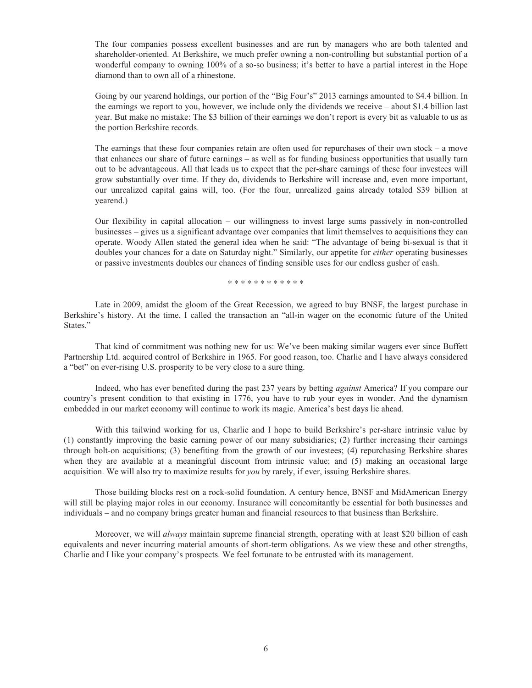The four companies possess excellent businesses and are run by managers who are both talented and shareholder-oriented. At Berkshire, we much prefer owning a non-controlling but substantial portion of a wonderful company to owning 100% of a so-so business; it's better to have a partial interest in the Hope diamond than to own all of a rhinestone.

Going by our yearend holdings, our portion of the "Big Four's" 2013 earnings amounted to \$4.4 billion. In the earnings we report to you, however, we include only the dividends we receive – about \$1.4 billion last year. But make no mistake: The \$3 billion of their earnings we don't report is every bit as valuable to us as the portion Berkshire records.

The earnings that these four companies retain are often used for repurchases of their own stock – a move that enhances our share of future earnings – as well as for funding business opportunities that usually turn out to be advantageous. All that leads us to expect that the per-share earnings of these four investees will grow substantially over time. If they do, dividends to Berkshire will increase and, even more important, our unrealized capital gains will, too. (For the four, unrealized gains already totaled \$39 billion at yearend.)

Our flexibility in capital allocation – our willingness to invest large sums passively in non-controlled businesses – gives us a significant advantage over companies that limit themselves to acquisitions they can operate. Woody Allen stated the general idea when he said: "The advantage of being bi-sexual is that it doubles your chances for a date on Saturday night." Similarly, our appetite for *either* operating businesses or passive investments doubles our chances of finding sensible uses for our endless gusher of cash.

\*\*\*\*\*\*\*\*\*\*\*\*

Late in 2009, amidst the gloom of the Great Recession, we agreed to buy BNSF, the largest purchase in Berkshire's history. At the time, I called the transaction an "all-in wager on the economic future of the United States."

That kind of commitment was nothing new for us: We've been making similar wagers ever since Buffett Partnership Ltd. acquired control of Berkshire in 1965. For good reason, too. Charlie and I have always considered a "bet" on ever-rising U.S. prosperity to be very close to a sure thing.

Indeed, who has ever benefited during the past 237 years by betting *against* America? If you compare our country's present condition to that existing in 1776, you have to rub your eyes in wonder. And the dynamism embedded in our market economy will continue to work its magic. America's best days lie ahead.

With this tailwind working for us, Charlie and I hope to build Berkshire's per-share intrinsic value by (1) constantly improving the basic earning power of our many subsidiaries; (2) further increasing their earnings through bolt-on acquisitions; (3) benefiting from the growth of our investees; (4) repurchasing Berkshire shares when they are available at a meaningful discount from intrinsic value; and (5) making an occasional large acquisition. We will also try to maximize results for *you* by rarely, if ever, issuing Berkshire shares.

Those building blocks rest on a rock-solid foundation. A century hence, BNSF and MidAmerican Energy will still be playing major roles in our economy. Insurance will concomitantly be essential for both businesses and individuals – and no company brings greater human and financial resources to that business than Berkshire.

Moreover, we will *always* maintain supreme financial strength, operating with at least \$20 billion of cash equivalents and never incurring material amounts of short-term obligations. As we view these and other strengths, Charlie and I like your company's prospects. We feel fortunate to be entrusted with its management.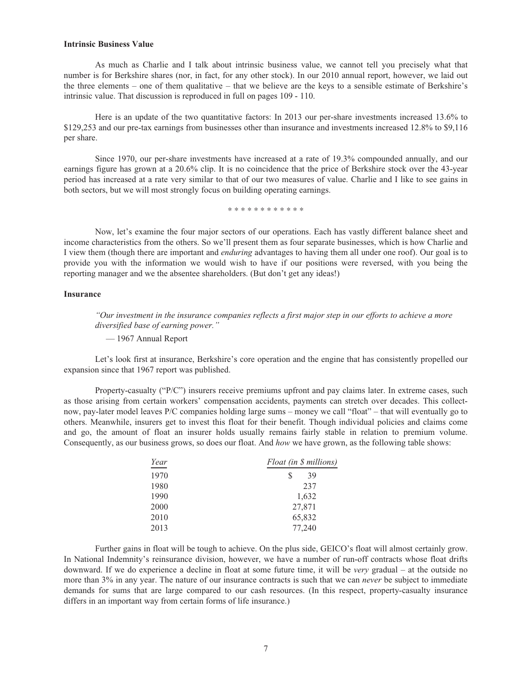### **Intrinsic Business Value**

As much as Charlie and I talk about intrinsic business value, we cannot tell you precisely what that number is for Berkshire shares (nor, in fact, for any other stock). In our 2010 annual report, however, we laid out the three elements – one of them qualitative – that we believe are the keys to a sensible estimate of Berkshire's intrinsic value. That discussion is reproduced in full on pages 109 - 110.

Here is an update of the two quantitative factors: In 2013 our per-share investments increased 13.6% to \$129,253 and our pre-tax earnings from businesses other than insurance and investments increased 12.8% to \$9,116 per share.

Since 1970, our per-share investments have increased at a rate of 19.3% compounded annually, and our earnings figure has grown at a 20.6% clip. It is no coincidence that the price of Berkshire stock over the 43-year period has increased at a rate very similar to that of our two measures of value. Charlie and I like to see gains in both sectors, but we will most strongly focus on building operating earnings.

\*\*\*\*\*\*\*\*\*\*\*\*

Now, let's examine the four major sectors of our operations. Each has vastly different balance sheet and income characteristics from the others. So we'll present them as four separate businesses, which is how Charlie and I view them (though there are important and *enduring* advantages to having them all under one roof). Our goal is to provide you with the information we would wish to have if our positions were reversed, with you being the reporting manager and we the absentee shareholders. (But don't get any ideas!)

### **Insurance**

*"Our investment in the insurance companies reflects a first major step in our efforts to achieve a more diversified base of earning power."*

— 1967 Annual Report

Let's look first at insurance, Berkshire's core operation and the engine that has consistently propelled our expansion since that 1967 report was published.

Property-casualty ("P/C") insurers receive premiums upfront and pay claims later. In extreme cases, such as those arising from certain workers' compensation accidents, payments can stretch over decades. This collectnow, pay-later model leaves P/C companies holding large sums – money we call "float" – that will eventually go to others. Meanwhile, insurers get to invest this float for their benefit. Though individual policies and claims come and go, the amount of float an insurer holds usually remains fairly stable in relation to premium volume. Consequently, as our business grows, so does our float. And *how* we have grown, as the following table shows:

| Year | Float (in \$ millions) |
|------|------------------------|
| 1970 | 39<br>S                |
| 1980 | 237                    |
| 1990 | 1,632                  |
| 2000 | 27,871                 |
| 2010 | 65,832                 |
| 2013 | 77,240                 |

Further gains in float will be tough to achieve. On the plus side, GEICO's float will almost certainly grow. In National Indemnity's reinsurance division, however, we have a number of run-off contracts whose float drifts downward. If we do experience a decline in float at some future time, it will be *very* gradual – at the outside no more than 3% in any year. The nature of our insurance contracts is such that we can *never* be subject to immediate demands for sums that are large compared to our cash resources. (In this respect, property-casualty insurance differs in an important way from certain forms of life insurance.)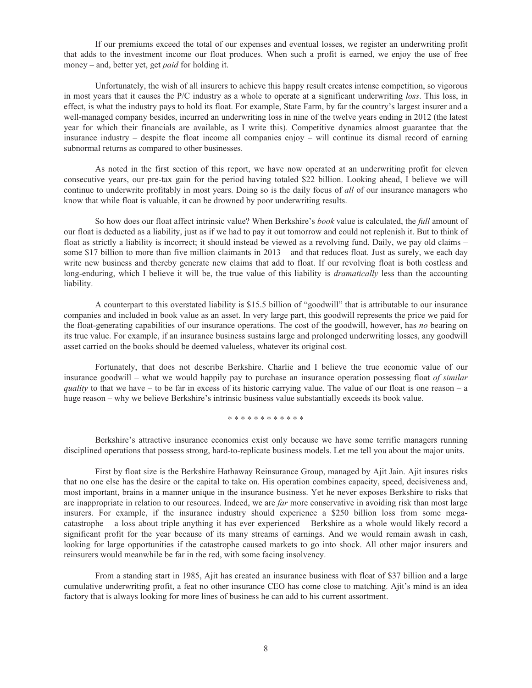If our premiums exceed the total of our expenses and eventual losses, we register an underwriting profit that adds to the investment income our float produces. When such a profit is earned, we enjoy the use of free money – and, better yet, get *paid* for holding it.

Unfortunately, the wish of all insurers to achieve this happy result creates intense competition, so vigorous in most years that it causes the P/C industry as a whole to operate at a significant underwriting *loss*. This loss, in effect, is what the industry pays to hold its float. For example, State Farm, by far the country's largest insurer and a well-managed company besides, incurred an underwriting loss in nine of the twelve years ending in 2012 (the latest year for which their financials are available, as I write this). Competitive dynamics almost guarantee that the insurance industry – despite the float income all companies enjoy – will continue its dismal record of earning subnormal returns as compared to other businesses.

As noted in the first section of this report, we have now operated at an underwriting profit for eleven consecutive years, our pre-tax gain for the period having totaled \$22 billion. Looking ahead, I believe we will continue to underwrite profitably in most years. Doing so is the daily focus of *all* of our insurance managers who know that while float is valuable, it can be drowned by poor underwriting results.

So how does our float affect intrinsic value? When Berkshire's *book* value is calculated, the *full* amount of our float is deducted as a liability, just as if we had to pay it out tomorrow and could not replenish it. But to think of float as strictly a liability is incorrect; it should instead be viewed as a revolving fund. Daily, we pay old claims – some \$17 billion to more than five million claimants in 2013 – and that reduces float. Just as surely, we each day write new business and thereby generate new claims that add to float. If our revolving float is both costless and long-enduring, which I believe it will be, the true value of this liability is *dramatically* less than the accounting liability.

A counterpart to this overstated liability is \$15.5 billion of "goodwill" that is attributable to our insurance companies and included in book value as an asset. In very large part, this goodwill represents the price we paid for the float-generating capabilities of our insurance operations. The cost of the goodwill, however, has *no* bearing on its true value. For example, if an insurance business sustains large and prolonged underwriting losses, any goodwill asset carried on the books should be deemed valueless, whatever its original cost.

Fortunately, that does not describe Berkshire. Charlie and I believe the true economic value of our insurance goodwill – what we would happily pay to purchase an insurance operation possessing float *of similar quality* to that we have – to be far in excess of its historic carrying value. The value of our float is one reason – a huge reason – why we believe Berkshire's intrinsic business value substantially exceeds its book value.

\*\*\*\*\*\*\*\*\*\*\*\*

Berkshire's attractive insurance economics exist only because we have some terrific managers running disciplined operations that possess strong, hard-to-replicate business models. Let me tell you about the major units.

First by float size is the Berkshire Hathaway Reinsurance Group, managed by Ajit Jain. Ajit insures risks that no one else has the desire or the capital to take on. His operation combines capacity, speed, decisiveness and, most important, brains in a manner unique in the insurance business. Yet he never exposes Berkshire to risks that are inappropriate in relation to our resources. Indeed, we are *far* more conservative in avoiding risk than most large insurers. For example, if the insurance industry should experience a \$250 billion loss from some megacatastrophe – a loss about triple anything it has ever experienced – Berkshire as a whole would likely record a significant profit for the year because of its many streams of earnings. And we would remain awash in cash, looking for large opportunities if the catastrophe caused markets to go into shock. All other major insurers and reinsurers would meanwhile be far in the red, with some facing insolvency.

From a standing start in 1985, Ajit has created an insurance business with float of \$37 billion and a large cumulative underwriting profit, a feat no other insurance CEO has come close to matching. Ajit's mind is an idea factory that is always looking for more lines of business he can add to his current assortment.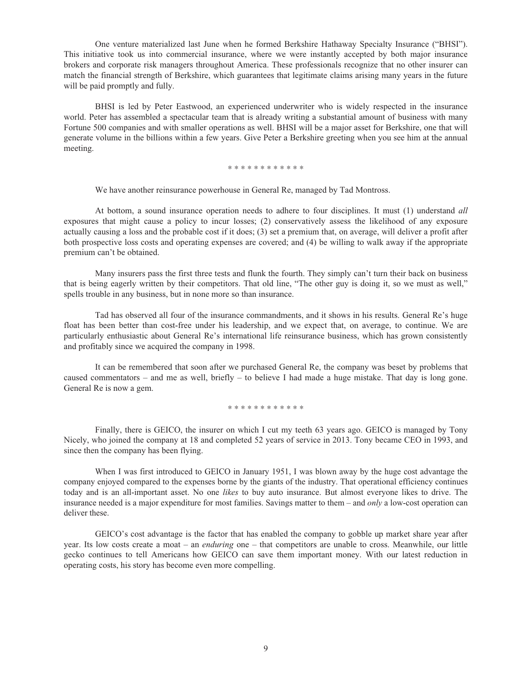One venture materialized last June when he formed Berkshire Hathaway Specialty Insurance ("BHSI"). This initiative took us into commercial insurance, where we were instantly accepted by both major insurance brokers and corporate risk managers throughout America. These professionals recognize that no other insurer can match the financial strength of Berkshire, which guarantees that legitimate claims arising many years in the future will be paid promptly and fully.

BHSI is led by Peter Eastwood, an experienced underwriter who is widely respected in the insurance world. Peter has assembled a spectacular team that is already writing a substantial amount of business with many Fortune 500 companies and with smaller operations as well. BHSI will be a major asset for Berkshire, one that will generate volume in the billions within a few years. Give Peter a Berkshire greeting when you see him at the annual meeting.

\*\*\*\*\*\*\*\*\*\*\*\*

We have another reinsurance powerhouse in General Re, managed by Tad Montross.

At bottom, a sound insurance operation needs to adhere to four disciplines. It must (1) understand *all* exposures that might cause a policy to incur losses; (2) conservatively assess the likelihood of any exposure actually causing a loss and the probable cost if it does; (3) set a premium that, on average, will deliver a profit after both prospective loss costs and operating expenses are covered; and (4) be willing to walk away if the appropriate premium can't be obtained.

Many insurers pass the first three tests and flunk the fourth. They simply can't turn their back on business that is being eagerly written by their competitors. That old line, "The other guy is doing it, so we must as well," spells trouble in any business, but in none more so than insurance.

Tad has observed all four of the insurance commandments, and it shows in his results. General Re's huge float has been better than cost-free under his leadership, and we expect that, on average, to continue. We are particularly enthusiastic about General Re's international life reinsurance business, which has grown consistently and profitably since we acquired the company in 1998.

It can be remembered that soon after we purchased General Re, the company was beset by problems that caused commentators – and me as well, briefly – to believe I had made a huge mistake. That day is long gone. General Re is now a gem.

\*\*\*\*\*\*\*\*\*\*\*\*

Finally, there is GEICO, the insurer on which I cut my teeth 63 years ago. GEICO is managed by Tony Nicely, who joined the company at 18 and completed 52 years of service in 2013. Tony became CEO in 1993, and since then the company has been flying.

When I was first introduced to GEICO in January 1951, I was blown away by the huge cost advantage the company enjoyed compared to the expenses borne by the giants of the industry. That operational efficiency continues today and is an all-important asset. No one *likes* to buy auto insurance. But almost everyone likes to drive. The insurance needed is a major expenditure for most families. Savings matter to them – and *only* a low-cost operation can deliver these.

GEICO's cost advantage is the factor that has enabled the company to gobble up market share year after year. Its low costs create a moat – an *enduring* one – that competitors are unable to cross. Meanwhile, our little gecko continues to tell Americans how GEICO can save them important money. With our latest reduction in operating costs, his story has become even more compelling.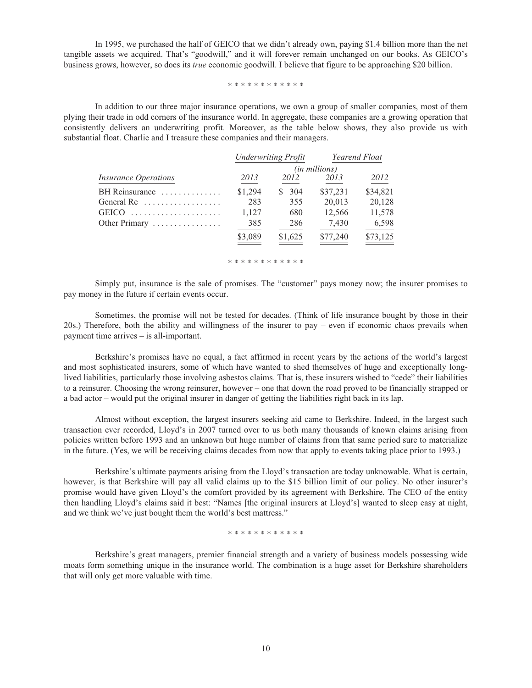In 1995, we purchased the half of GEICO that we didn't already own, paying \$1.4 billion more than the net tangible assets we acquired. That's "goodwill," and it will forever remain unchanged on our books. As GEICO's business grows, however, so does its *true* economic goodwill. I believe that figure to be approaching \$20 billion.

## \*\*\*\*\*\*\*\*\*\*\*\*

In addition to our three major insurance operations, we own a group of smaller companies, most of them plying their trade in odd corners of the insurance world. In aggregate, these companies are a growing operation that consistently delivers an underwriting profit. Moreover, as the table below shows, they also provide us with substantial float. Charlie and I treasure these companies and their managers.

|                                         | <b>Underwriting Profit</b> |         | Yearend Float          |          |
|-----------------------------------------|----------------------------|---------|------------------------|----------|
|                                         |                            |         | ( <i>in millions</i> ) |          |
| <i><b>Insurance Operations</b></i>      | 2013                       | 2012    | 2013                   | 2012     |
| BH Reinsurance                          | \$1,294                    | 304     | \$37,231               | \$34,821 |
| General Re                              | 283                        | 355     | 20,013                 | 20,128   |
| $G EICO$                                | 1,127                      | 680     | 12,566                 | 11,578   |
| Other Primary $\dots \dots \dots \dots$ | 385                        | 286     | 7,430                  | 6,598    |
|                                         | \$3,089                    | \$1,625 | \$77,240               | \$73,125 |
|                                         |                            |         |                        |          |

\*\*\*\*\*\*\*\*\*\*\*\*

Simply put, insurance is the sale of promises. The "customer" pays money now; the insurer promises to pay money in the future if certain events occur.

Sometimes, the promise will not be tested for decades. (Think of life insurance bought by those in their 20s.) Therefore, both the ability and willingness of the insurer to pay – even if economic chaos prevails when payment time arrives – is all-important.

Berkshire's promises have no equal, a fact affirmed in recent years by the actions of the world's largest and most sophisticated insurers, some of which have wanted to shed themselves of huge and exceptionally longlived liabilities, particularly those involving asbestos claims. That is, these insurers wished to "cede" their liabilities to a reinsurer. Choosing the wrong reinsurer, however – one that down the road proved to be financially strapped or a bad actor – would put the original insurer in danger of getting the liabilities right back in its lap.

Almost without exception, the largest insurers seeking aid came to Berkshire. Indeed, in the largest such transaction ever recorded, Lloyd's in 2007 turned over to us both many thousands of known claims arising from policies written before 1993 and an unknown but huge number of claims from that same period sure to materialize in the future. (Yes, we will be receiving claims decades from now that apply to events taking place prior to 1993.)

Berkshire's ultimate payments arising from the Lloyd's transaction are today unknowable. What is certain, however, is that Berkshire will pay all valid claims up to the \$15 billion limit of our policy. No other insurer's promise would have given Lloyd's the comfort provided by its agreement with Berkshire. The CEO of the entity then handling Lloyd's claims said it best: "Names [the original insurers at Lloyd's] wanted to sleep easy at night, and we think we've just bought them the world's best mattress."

\*\*\*\*\*\*\*\*\*\*\*\*

Berkshire's great managers, premier financial strength and a variety of business models possessing wide moats form something unique in the insurance world. The combination is a huge asset for Berkshire shareholders that will only get more valuable with time.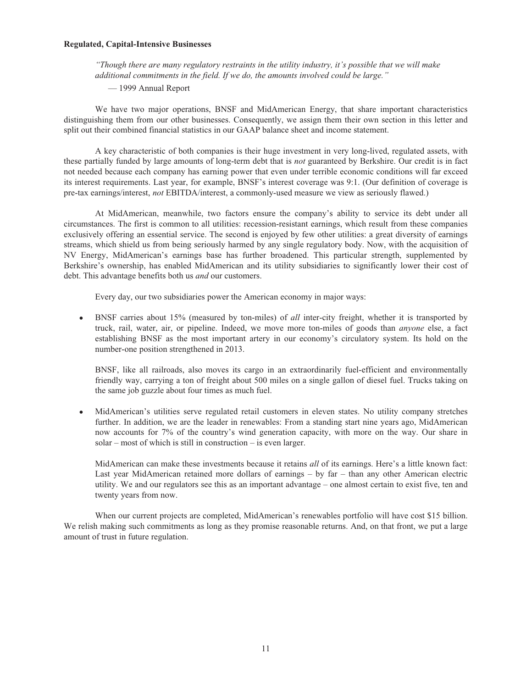## **Regulated, Capital-Intensive Businesses**

*"Though there are many regulatory restraints in the utility industry, it's possible that we will make additional commitments in the field. If we do, the amounts involved could be large."*

— 1999 Annual Report

We have two major operations, BNSF and MidAmerican Energy, that share important characteristics distinguishing them from our other businesses. Consequently, we assign them their own section in this letter and split out their combined financial statistics in our GAAP balance sheet and income statement.

A key characteristic of both companies is their huge investment in very long-lived, regulated assets, with these partially funded by large amounts of long-term debt that is *not* guaranteed by Berkshire. Our credit is in fact not needed because each company has earning power that even under terrible economic conditions will far exceed its interest requirements. Last year, for example, BNSF's interest coverage was 9:1. (Our definition of coverage is pre-tax earnings/interest, *not* EBITDA/interest, a commonly-used measure we view as seriously flawed.)

At MidAmerican, meanwhile, two factors ensure the company's ability to service its debt under all circumstances. The first is common to all utilities: recession-resistant earnings, which result from these companies exclusively offering an essential service. The second is enjoyed by few other utilities: a great diversity of earnings streams, which shield us from being seriously harmed by any single regulatory body. Now, with the acquisition of NV Energy, MidAmerican's earnings base has further broadened. This particular strength, supplemented by Berkshire's ownership, has enabled MidAmerican and its utility subsidiaries to significantly lower their cost of debt. This advantage benefits both us *and* our customers.

Every day, our two subsidiaries power the American economy in major ways:

• BNSF carries about 15% (measured by ton-miles) of *all* inter-city freight, whether it is transported by truck, rail, water, air, or pipeline. Indeed, we move more ton-miles of goods than *anyone* else, a fact establishing BNSF as the most important artery in our economy's circulatory system. Its hold on the number-one position strengthened in 2013.

BNSF, like all railroads, also moves its cargo in an extraordinarily fuel-efficient and environmentally friendly way, carrying a ton of freight about 500 miles on a single gallon of diesel fuel. Trucks taking on the same job guzzle about four times as much fuel.

• MidAmerican's utilities serve regulated retail customers in eleven states. No utility company stretches further. In addition, we are the leader in renewables: From a standing start nine years ago, MidAmerican now accounts for 7% of the country's wind generation capacity, with more on the way. Our share in solar – most of which is still in construction – is even larger.

MidAmerican can make these investments because it retains *all* of its earnings. Here's a little known fact: Last year MidAmerican retained more dollars of earnings – by far – than any other American electric utility. We and our regulators see this as an important advantage – one almost certain to exist five, ten and twenty years from now.

When our current projects are completed, MidAmerican's renewables portfolio will have cost \$15 billion. We relish making such commitments as long as they promise reasonable returns. And, on that front, we put a large amount of trust in future regulation.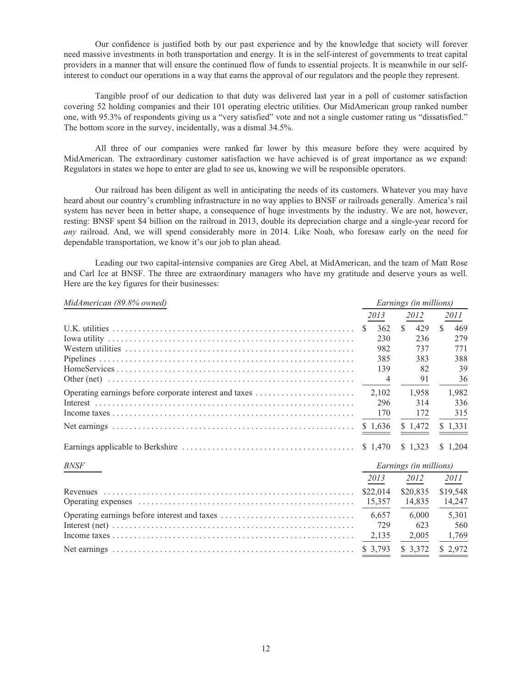Our confidence is justified both by our past experience and by the knowledge that society will forever need massive investments in both transportation and energy. It is in the self-interest of governments to treat capital providers in a manner that will ensure the continued flow of funds to essential projects. It is meanwhile in our selfinterest to conduct our operations in a way that earns the approval of our regulators and the people they represent.

Tangible proof of our dedication to that duty was delivered last year in a poll of customer satisfaction covering 52 holding companies and their 101 operating electric utilities. Our MidAmerican group ranked number one, with 95.3% of respondents giving us a "very satisfied" vote and not a single customer rating us "dissatisfied." The bottom score in the survey, incidentally, was a dismal 34.5%.

All three of our companies were ranked far lower by this measure before they were acquired by MidAmerican. The extraordinary customer satisfaction we have achieved is of great importance as we expand: Regulators in states we hope to enter are glad to see us, knowing we will be responsible operators.

Our railroad has been diligent as well in anticipating the needs of its customers. Whatever you may have heard about our country's crumbling infrastructure in no way applies to BNSF or railroads generally. America's rail system has never been in better shape, a consequence of huge investments by the industry. We are not, however, resting: BNSF spent \$4 billion on the railroad in 2013, double its depreciation charge and a single-year record for *any* railroad. And, we will spend considerably more in 2014. Like Noah, who foresaw early on the need for dependable transportation, we know it's our job to plan ahead.

Leading our two capital-intensive companies are Greg Abel, at MidAmerican, and the team of Matt Rose and Carl Ice at BNSF. The three are extraordinary managers who have my gratitude and deserve yours as well. Here are the key figures for their businesses:

| MidAmerican (89.8% owned)                              |                        | Earnings (in millions) |    |          |     |             |  |
|--------------------------------------------------------|------------------------|------------------------|----|----------|-----|-------------|--|
|                                                        |                        | 2013                   |    | 2012     |     | 2011        |  |
|                                                        | <sup>\$</sup>          | 362                    | S. | 429      | \$. | 469         |  |
|                                                        |                        | 230                    |    | 236      |     | 279         |  |
|                                                        |                        | 982                    |    | 737      |     | 771         |  |
|                                                        |                        | 385                    |    | 383      |     | 388         |  |
|                                                        |                        | 139                    |    | 82       |     | 39          |  |
|                                                        |                        | $\overline{4}$         |    | 91       |     | 36          |  |
| Operating earnings before corporate interest and taxes |                        | 2,102                  |    | 1,958    |     | 1,982       |  |
|                                                        |                        | 296                    |    | 314      |     | 336         |  |
|                                                        |                        | 170                    |    | 172      |     | 315         |  |
|                                                        |                        | \$1,636                |    | \$1,472  |     | \$1,331     |  |
|                                                        |                        | \$ 1,470               |    | \$1,323  |     | \$1,204     |  |
| BNSF                                                   | Earnings (in millions) |                        |    |          |     |             |  |
|                                                        |                        | 2013                   |    | 2012     |     | <i>2011</i> |  |
|                                                        |                        | \$22,014               |    | \$20,835 |     | \$19,548    |  |
|                                                        |                        | 15,357                 |    | 14,835   |     | 14,247      |  |
| Operating earnings before interest and taxes           |                        | 6,657                  |    | 6,000    |     | 5,301       |  |
|                                                        |                        | 729                    |    | 623      |     | 560         |  |
|                                                        |                        | 2,135                  |    | 2,005    |     | 1,769       |  |
|                                                        |                        | \$3,793                |    | \$3,372  |     | \$2,972     |  |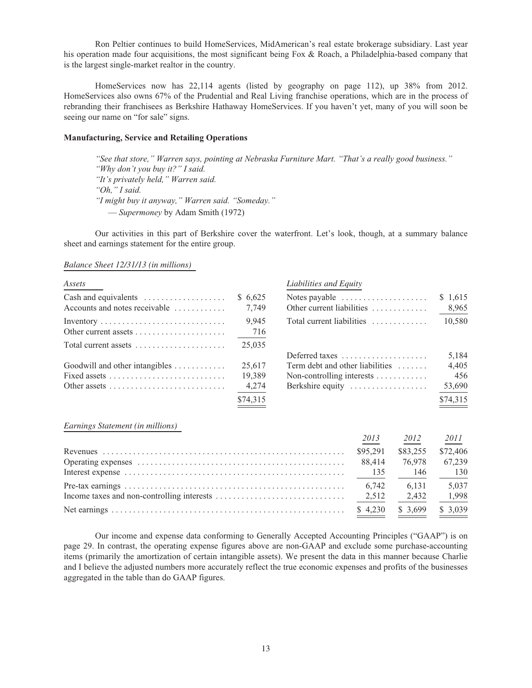Ron Peltier continues to build HomeServices, MidAmerican's real estate brokerage subsidiary. Last year his operation made four acquisitions, the most significant being Fox & Roach, a Philadelphia-based company that is the largest single-market realtor in the country.

HomeServices now has 22,114 agents (listed by geography on page 112), up 38% from 2012. HomeServices also owns 67% of the Prudential and Real Living franchise operations, which are in the process of rebranding their franchisees as Berkshire Hathaway HomeServices. If you haven't yet, many of you will soon be seeing our name on "for sale" signs.

## **Manufacturing, Service and Retailing Operations**

*"See that store," Warren says, pointing at Nebraska Furniture Mart. "That's a really good business." "Why don't you buy it?" I said. "It's privately held," Warren said. "Oh," I said. "I might buy it anyway," Warren said. "Someday."* — *Supermoney* by Adam Smith (1972)

Our activities in this part of Berkshire cover the waterfront. Let's look, though, at a summary balance sheet and earnings statement for the entire group.

*Balance Sheet 12/31/13 (in millions)*

| Assets                                                |                           | Liabilities and Equity                                                                                                                 |                                 |
|-------------------------------------------------------|---------------------------|----------------------------------------------------------------------------------------------------------------------------------------|---------------------------------|
| Cash and equivalents<br>Accounts and notes receivable | \$ 6,625<br>7.749         | Notes payable<br>Other current liabilities                                                                                             | \$1,615<br>8,965                |
|                                                       | 9,945<br>716              | Total current liabilities $\ldots \ldots \ldots$                                                                                       | 10,580                          |
| Total current assets                                  | 25,035                    |                                                                                                                                        |                                 |
| Goodwill and other intangibles                        | 25.617<br>19,389<br>4,274 | Deferred taxes<br>Term debt and other liabilities $\dots\dots$<br>Non-controlling interests $\dots\dots\dots\dots$<br>Berkshire equity | 5,184<br>4,405<br>456<br>53,690 |
|                                                       | \$74,315                  |                                                                                                                                        | \$74,315                        |

### *Earnings Statement (in millions)*

| 2013     | 2012     | 2011     |
|----------|----------|----------|
| \$95,291 | \$83,255 | \$72,406 |
| 88.414   | 76.978   | 67.239   |
|          | 146      | 130      |
| 6.742    | 6.131    | 5,037    |
|          | 2.432    | 1,998    |
| \$4.230  | \$3,699  | \$3,039  |

Our income and expense data conforming to Generally Accepted Accounting Principles ("GAAP") is on page 29. In contrast, the operating expense figures above are non-GAAP and exclude some purchase-accounting items (primarily the amortization of certain intangible assets). We present the data in this manner because Charlie and I believe the adjusted numbers more accurately reflect the true economic expenses and profits of the businesses aggregated in the table than do GAAP figures.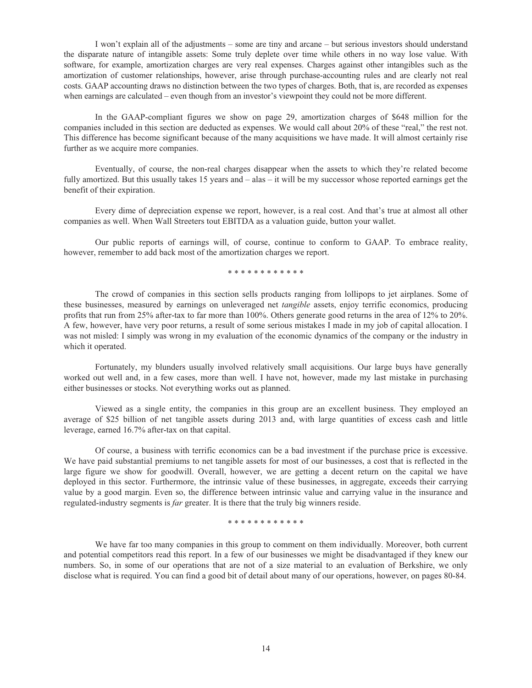I won't explain all of the adjustments – some are tiny and arcane – but serious investors should understand the disparate nature of intangible assets: Some truly deplete over time while others in no way lose value. With software, for example, amortization charges are very real expenses. Charges against other intangibles such as the amortization of customer relationships, however, arise through purchase-accounting rules and are clearly not real costs. GAAP accounting draws no distinction between the two types of charges. Both, that is, are recorded as expenses when earnings are calculated – even though from an investor's viewpoint they could not be more different.

In the GAAP-compliant figures we show on page 29, amortization charges of \$648 million for the companies included in this section are deducted as expenses. We would call about 20% of these "real," the rest not. This difference has become significant because of the many acquisitions we have made. It will almost certainly rise further as we acquire more companies.

Eventually, of course, the non-real charges disappear when the assets to which they're related become fully amortized. But this usually takes 15 years and – alas – it will be my successor whose reported earnings get the benefit of their expiration.

Every dime of depreciation expense we report, however, is a real cost. And that's true at almost all other companies as well. When Wall Streeters tout EBITDA as a valuation guide, button your wallet.

Our public reports of earnings will, of course, continue to conform to GAAP. To embrace reality, however, remember to add back most of the amortization charges we report.

\*\*\*\*\*\*\*\*\*\*\*\*

The crowd of companies in this section sells products ranging from lollipops to jet airplanes. Some of these businesses, measured by earnings on unleveraged net *tangible* assets, enjoy terrific economics, producing profits that run from 25% after-tax to far more than 100%. Others generate good returns in the area of 12% to 20%. A few, however, have very poor returns, a result of some serious mistakes I made in my job of capital allocation. I was not misled: I simply was wrong in my evaluation of the economic dynamics of the company or the industry in which it operated.

Fortunately, my blunders usually involved relatively small acquisitions. Our large buys have generally worked out well and, in a few cases, more than well. I have not, however, made my last mistake in purchasing either businesses or stocks. Not everything works out as planned.

Viewed as a single entity, the companies in this group are an excellent business. They employed an average of \$25 billion of net tangible assets during 2013 and, with large quantities of excess cash and little leverage, earned 16.7% after-tax on that capital.

Of course, a business with terrific economics can be a bad investment if the purchase price is excessive. We have paid substantial premiums to net tangible assets for most of our businesses, a cost that is reflected in the large figure we show for goodwill. Overall, however, we are getting a decent return on the capital we have deployed in this sector. Furthermore, the intrinsic value of these businesses, in aggregate, exceeds their carrying value by a good margin. Even so, the difference between intrinsic value and carrying value in the insurance and regulated-industry segments is *far* greater. It is there that the truly big winners reside.

### \*\*\*\*\*\*\*\*\*\*

We have far too many companies in this group to comment on them individually. Moreover, both current and potential competitors read this report. In a few of our businesses we might be disadvantaged if they knew our numbers. So, in some of our operations that are not of a size material to an evaluation of Berkshire, we only disclose what is required. You can find a good bit of detail about many of our operations, however, on pages 80-84.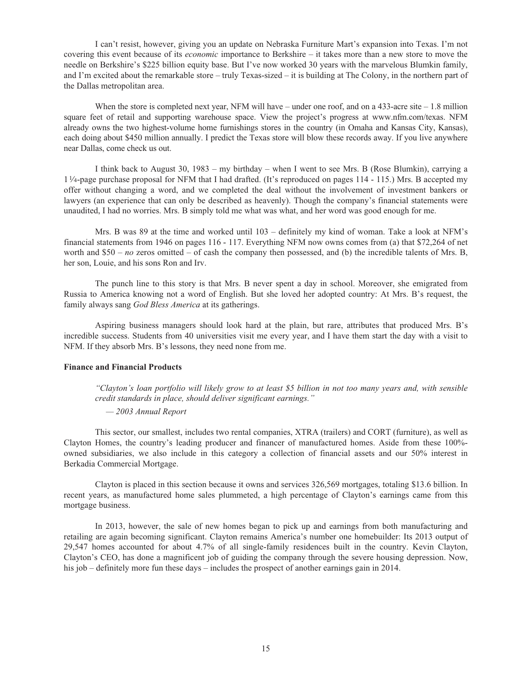I can't resist, however, giving you an update on Nebraska Furniture Mart's expansion into Texas. I'm not covering this event because of its *economic* importance to Berkshire – it takes more than a new store to move the needle on Berkshire's \$225 billion equity base. But I've now worked 30 years with the marvelous Blumkin family, and I'm excited about the remarkable store – truly Texas-sized – it is building at The Colony, in the northern part of the Dallas metropolitan area.

When the store is completed next year, NFM will have – under one roof, and on a 433-acre site  $-1.8$  million square feet of retail and supporting warehouse space. View the project's progress at www.nfm.com/texas. NFM already owns the two highest-volume home furnishings stores in the country (in Omaha and Kansas City, Kansas), each doing about \$450 million annually. I predict the Texas store will blow these records away. If you live anywhere near Dallas, come check us out.

I think back to August 30, 1983 – my birthday – when I went to see Mrs. B (Rose Blumkin), carrying a 11⁄4-page purchase proposal for NFM that I had drafted. (It's reproduced on pages 114 - 115.) Mrs. B accepted my offer without changing a word, and we completed the deal without the involvement of investment bankers or lawyers (an experience that can only be described as heavenly). Though the company's financial statements were unaudited, I had no worries. Mrs. B simply told me what was what, and her word was good enough for me.

Mrs. B was 89 at the time and worked until 103 – definitely my kind of woman. Take a look at NFM's financial statements from 1946 on pages 116 - 117. Everything NFM now owns comes from (a) that \$72,264 of net worth and \$50 – *no* zeros omitted – of cash the company then possessed, and (b) the incredible talents of Mrs. B, her son, Louie, and his sons Ron and Irv.

The punch line to this story is that Mrs. B never spent a day in school. Moreover, she emigrated from Russia to America knowing not a word of English. But she loved her adopted country: At Mrs. B's request, the family always sang *God Bless America* at its gatherings.

Aspiring business managers should look hard at the plain, but rare, attributes that produced Mrs. B's incredible success. Students from 40 universities visit me every year, and I have them start the day with a visit to NFM. If they absorb Mrs. B's lessons, they need none from me.

### **Finance and Financial Products**

*"Clayton's loan portfolio will likely grow to at least \$5 billion in not too many years and, with sensible credit standards in place, should deliver significant earnings."*

*— 2003 Annual Report*

This sector, our smallest, includes two rental companies, XTRA (trailers) and CORT (furniture), as well as Clayton Homes, the country's leading producer and financer of manufactured homes. Aside from these 100% owned subsidiaries, we also include in this category a collection of financial assets and our 50% interest in Berkadia Commercial Mortgage.

Clayton is placed in this section because it owns and services 326,569 mortgages, totaling \$13.6 billion. In recent years, as manufactured home sales plummeted, a high percentage of Clayton's earnings came from this mortgage business.

In 2013, however, the sale of new homes began to pick up and earnings from both manufacturing and retailing are again becoming significant. Clayton remains America's number one homebuilder: Its 2013 output of 29,547 homes accounted for about 4.7% of all single-family residences built in the country. Kevin Clayton, Clayton's CEO, has done a magnificent job of guiding the company through the severe housing depression. Now, his job – definitely more fun these days – includes the prospect of another earnings gain in 2014.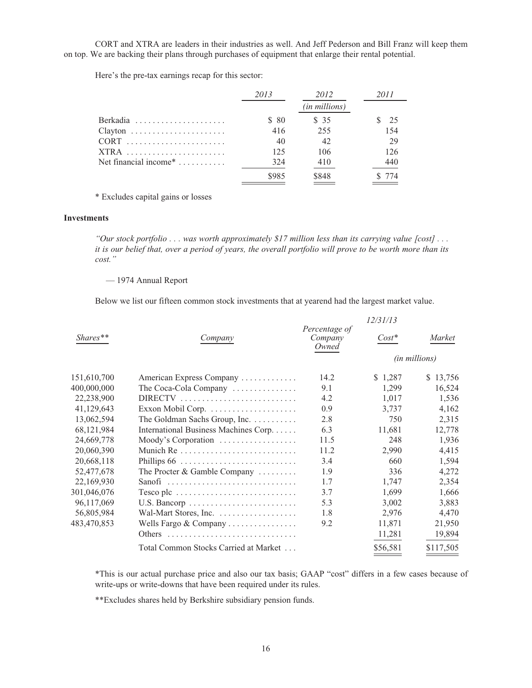CORT and XTRA are leaders in their industries as well. And Jeff Pederson and Bill Franz will keep them on top. We are backing their plans through purchases of equipment that enlarge their rental potential.

Here's the pre-tax earnings recap for this sector:

|                                   | 2013  | 2012                   | 2011  |
|-----------------------------------|-------|------------------------|-------|
|                                   |       | ( <i>in millions</i> ) |       |
| Berkadia                          | \$80  | \$ 35                  | 25    |
|                                   | 416   | 255                    | 154   |
| $CORT$                            | 40    | -42                    | 29    |
| XTRA                              | 125   | 106                    | 126   |
| Net financial income <sup>*</sup> | 324   | 410                    | 440   |
|                                   | \$985 | \$848                  | \$774 |

\* Excludes capital gains or losses

# **Investments**

*"Our stock portfolio . . . was worth approximately \$17 million less than its carrying value [cost] . . . it is our belief that, over a period of years, the overall portfolio will prove to be worth more than its cost."*

— 1974 Annual Report

Below we list our fifteen common stock investments that at yearend had the largest market value.

|             |                                                        |                                   | 12/31/13 |               |
|-------------|--------------------------------------------------------|-----------------------------------|----------|---------------|
| Shares**    | Company                                                | Percentage of<br>Company<br>Owned | $Cost^*$ | <i>Market</i> |
|             |                                                        |                                   |          | (in millions) |
| 151,610,700 | American Express Company                               | 14.2                              | \$1,287  | 13,756<br>S.  |
| 400,000,000 | The Coca-Cola Company                                  | 9.1                               | 1,299    | 16,524        |
| 22,238,900  | DIRECTV                                                | 4.2                               | 1,017    | 1,536         |
| 41,129,643  |                                                        | 0.9                               | 3,737    | 4,162         |
| 13,062,594  | The Goldman Sachs Group, Inc. $\dots \dots$            | 2.8                               | 750      | 2,315         |
| 68,121,984  | International Business Machines Corp.                  | 6.3                               | 11,681   | 12,778        |
| 24,669,778  | Moody's Corporation                                    | 11.5                              | 248      | 1,936         |
| 20,060,390  | Munich Re                                              | 11.2                              | 2,990    | 4,415         |
| 20,668,118  | Phillips 66                                            | 3.4                               | 660      | 1,594         |
| 52,477,678  | The Procter & Gamble Company                           | 1.9                               | 336      | 4,272         |
| 22,169,930  |                                                        | 1.7                               | 1,747    | 2,354         |
| 301,046,076 | Tesco plc                                              | 3.7                               | 1,699    | 1,666         |
| 96,117,069  |                                                        | 5.3                               | 3,002    | 3,883         |
| 56,805,984  | Wal-Mart Stores, Inc. $\dots\dots\dots\dots\dots\dots$ | 1.8                               | 2,976    | 4,470         |
| 483,470,853 | Wells Fargo & Company                                  | 9.2                               | 11,871   | 21,950        |
|             | Others                                                 |                                   | 11,281   | 19,894        |
|             | Total Common Stocks Carried at Market                  |                                   | \$56,581 | \$117,505     |

\*This is our actual purchase price and also our tax basis; GAAP "cost" differs in a few cases because of write-ups or write-downs that have been required under its rules.

\*\*Excludes shares held by Berkshire subsidiary pension funds.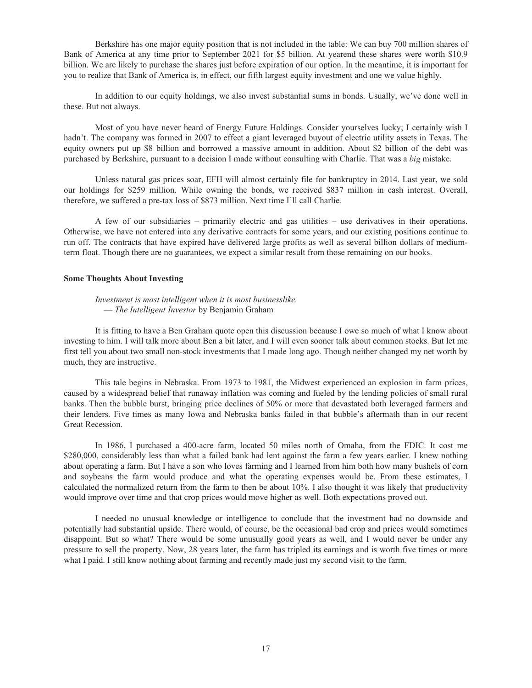Berkshire has one major equity position that is not included in the table: We can buy 700 million shares of Bank of America at any time prior to September 2021 for \$5 billion. At yearend these shares were worth \$10.9 billion. We are likely to purchase the shares just before expiration of our option. In the meantime, it is important for you to realize that Bank of America is, in effect, our fifth largest equity investment and one we value highly.

In addition to our equity holdings, we also invest substantial sums in bonds. Usually, we've done well in these. But not always.

Most of you have never heard of Energy Future Holdings. Consider yourselves lucky; I certainly wish I hadn't. The company was formed in 2007 to effect a giant leveraged buyout of electric utility assets in Texas. The equity owners put up \$8 billion and borrowed a massive amount in addition. About \$2 billion of the debt was purchased by Berkshire, pursuant to a decision I made without consulting with Charlie. That was a *big* mistake.

Unless natural gas prices soar, EFH will almost certainly file for bankruptcy in 2014. Last year, we sold our holdings for \$259 million. While owning the bonds, we received \$837 million in cash interest. Overall, therefore, we suffered a pre-tax loss of \$873 million. Next time I'll call Charlie.

A few of our subsidiaries – primarily electric and gas utilities – use derivatives in their operations. Otherwise, we have not entered into any derivative contracts for some years, and our existing positions continue to run off. The contracts that have expired have delivered large profits as well as several billion dollars of mediumterm float. Though there are no guarantees, we expect a similar result from those remaining on our books.

## **Some Thoughts About Investing**

*Investment is most intelligent when it is most businesslike.* — *The Intelligent Investor* by Benjamin Graham

It is fitting to have a Ben Graham quote open this discussion because I owe so much of what I know about investing to him. I will talk more about Ben a bit later, and I will even sooner talk about common stocks. But let me first tell you about two small non-stock investments that I made long ago. Though neither changed my net worth by much, they are instructive.

This tale begins in Nebraska. From 1973 to 1981, the Midwest experienced an explosion in farm prices, caused by a widespread belief that runaway inflation was coming and fueled by the lending policies of small rural banks. Then the bubble burst, bringing price declines of 50% or more that devastated both leveraged farmers and their lenders. Five times as many Iowa and Nebraska banks failed in that bubble's aftermath than in our recent Great Recession.

In 1986, I purchased a 400-acre farm, located 50 miles north of Omaha, from the FDIC. It cost me \$280,000, considerably less than what a failed bank had lent against the farm a few years earlier. I knew nothing about operating a farm. But I have a son who loves farming and I learned from him both how many bushels of corn and soybeans the farm would produce and what the operating expenses would be. From these estimates, I calculated the normalized return from the farm to then be about 10%. I also thought it was likely that productivity would improve over time and that crop prices would move higher as well. Both expectations proved out.

I needed no unusual knowledge or intelligence to conclude that the investment had no downside and potentially had substantial upside. There would, of course, be the occasional bad crop and prices would sometimes disappoint. But so what? There would be some unusually good years as well, and I would never be under any pressure to sell the property. Now, 28 years later, the farm has tripled its earnings and is worth five times or more what I paid. I still know nothing about farming and recently made just my second visit to the farm.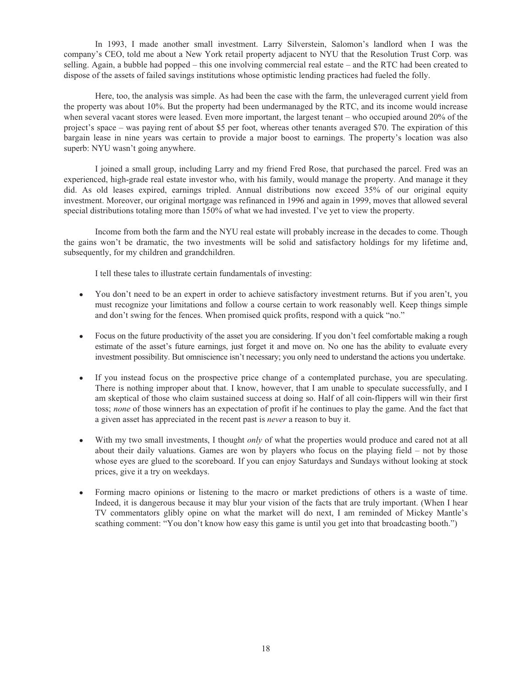In 1993, I made another small investment. Larry Silverstein, Salomon's landlord when I was the company's CEO, told me about a New York retail property adjacent to NYU that the Resolution Trust Corp. was selling. Again, a bubble had popped – this one involving commercial real estate – and the RTC had been created to dispose of the assets of failed savings institutions whose optimistic lending practices had fueled the folly.

Here, too, the analysis was simple. As had been the case with the farm, the unleveraged current yield from the property was about 10%. But the property had been undermanaged by the RTC, and its income would increase when several vacant stores were leased. Even more important, the largest tenant – who occupied around 20% of the project's space – was paying rent of about \$5 per foot, whereas other tenants averaged \$70. The expiration of this bargain lease in nine years was certain to provide a major boost to earnings. The property's location was also superb: NYU wasn't going anywhere.

I joined a small group, including Larry and my friend Fred Rose, that purchased the parcel. Fred was an experienced, high-grade real estate investor who, with his family, would manage the property. And manage it they did. As old leases expired, earnings tripled. Annual distributions now exceed 35% of our original equity investment. Moreover, our original mortgage was refinanced in 1996 and again in 1999, moves that allowed several special distributions totaling more than 150% of what we had invested. I've yet to view the property.

Income from both the farm and the NYU real estate will probably increase in the decades to come. Though the gains won't be dramatic, the two investments will be solid and satisfactory holdings for my lifetime and, subsequently, for my children and grandchildren.

I tell these tales to illustrate certain fundamentals of investing:

- You don't need to be an expert in order to achieve satisfactory investment returns. But if you aren't, you must recognize your limitations and follow a course certain to work reasonably well. Keep things simple and don't swing for the fences. When promised quick profits, respond with a quick "no."
- Focus on the future productivity of the asset you are considering. If you don't feel comfortable making a rough estimate of the asset's future earnings, just forget it and move on. No one has the ability to evaluate every investment possibility. But omniscience isn't necessary; you only need to understand the actions you undertake.
- If you instead focus on the prospective price change of a contemplated purchase, you are speculating. There is nothing improper about that. I know, however, that I am unable to speculate successfully, and I am skeptical of those who claim sustained success at doing so. Half of all coin-flippers will win their first toss; *none* of those winners has an expectation of profit if he continues to play the game. And the fact that a given asset has appreciated in the recent past is *never* a reason to buy it.
- With my two small investments, I thought *only* of what the properties would produce and cared not at all about their daily valuations. Games are won by players who focus on the playing field – not by those whose eyes are glued to the scoreboard. If you can enjoy Saturdays and Sundays without looking at stock prices, give it a try on weekdays.
- Forming macro opinions or listening to the macro or market predictions of others is a waste of time. Indeed, it is dangerous because it may blur your vision of the facts that are truly important. (When I hear TV commentators glibly opine on what the market will do next, I am reminded of Mickey Mantle's scathing comment: "You don't know how easy this game is until you get into that broadcasting booth.")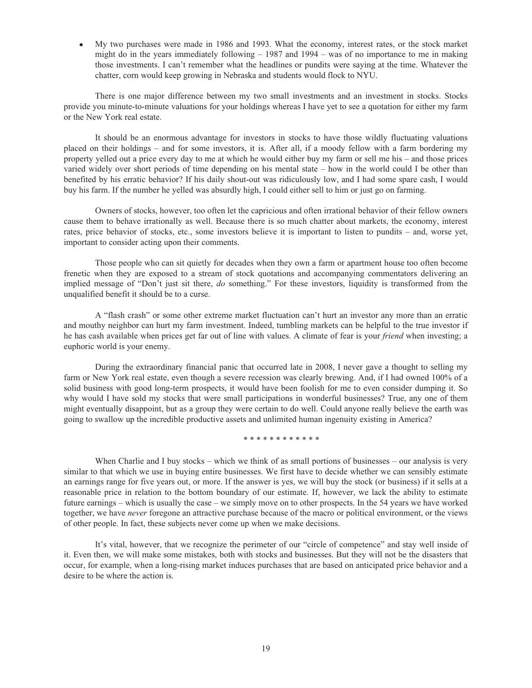My two purchases were made in 1986 and 1993. What the economy, interest rates, or the stock market might do in the years immediately following  $-1987$  and  $1994 -$  was of no importance to me in making those investments. I can't remember what the headlines or pundits were saying at the time. Whatever the chatter, corn would keep growing in Nebraska and students would flock to NYU.

There is one major difference between my two small investments and an investment in stocks. Stocks provide you minute-to-minute valuations for your holdings whereas I have yet to see a quotation for either my farm or the New York real estate.

It should be an enormous advantage for investors in stocks to have those wildly fluctuating valuations placed on their holdings – and for some investors, it is. After all, if a moody fellow with a farm bordering my property yelled out a price every day to me at which he would either buy my farm or sell me his – and those prices varied widely over short periods of time depending on his mental state – how in the world could I be other than benefited by his erratic behavior? If his daily shout-out was ridiculously low, and I had some spare cash, I would buy his farm. If the number he yelled was absurdly high, I could either sell to him or just go on farming.

Owners of stocks, however, too often let the capricious and often irrational behavior of their fellow owners cause them to behave irrationally as well. Because there is so much chatter about markets, the economy, interest rates, price behavior of stocks, etc., some investors believe it is important to listen to pundits – and, worse yet, important to consider acting upon their comments.

Those people who can sit quietly for decades when they own a farm or apartment house too often become frenetic when they are exposed to a stream of stock quotations and accompanying commentators delivering an implied message of "Don't just sit there, *do* something." For these investors, liquidity is transformed from the unqualified benefit it should be to a curse.

A "flash crash" or some other extreme market fluctuation can't hurt an investor any more than an erratic and mouthy neighbor can hurt my farm investment. Indeed, tumbling markets can be helpful to the true investor if he has cash available when prices get far out of line with values. A climate of fear is your *friend* when investing; a euphoric world is your enemy.

During the extraordinary financial panic that occurred late in 2008, I never gave a thought to selling my farm or New York real estate, even though a severe recession was clearly brewing. And, if I had owned 100% of a solid business with good long-term prospects, it would have been foolish for me to even consider dumping it. So why would I have sold my stocks that were small participations in wonderful businesses? True, any one of them might eventually disappoint, but as a group they were certain to do well. Could anyone really believe the earth was going to swallow up the incredible productive assets and unlimited human ingenuity existing in America?

# \*\*\*\*\*\*\*\*\*\*\*\*

When Charlie and I buy stocks – which we think of as small portions of businesses – our analysis is very similar to that which we use in buying entire businesses. We first have to decide whether we can sensibly estimate an earnings range for five years out, or more. If the answer is yes, we will buy the stock (or business) if it sells at a reasonable price in relation to the bottom boundary of our estimate. If, however, we lack the ability to estimate future earnings – which is usually the case – we simply move on to other prospects. In the 54 years we have worked together, we have *never* foregone an attractive purchase because of the macro or political environment, or the views of other people. In fact, these subjects never come up when we make decisions.

It's vital, however, that we recognize the perimeter of our "circle of competence" and stay well inside of it. Even then, we will make some mistakes, both with stocks and businesses. But they will not be the disasters that occur, for example, when a long-rising market induces purchases that are based on anticipated price behavior and a desire to be where the action is.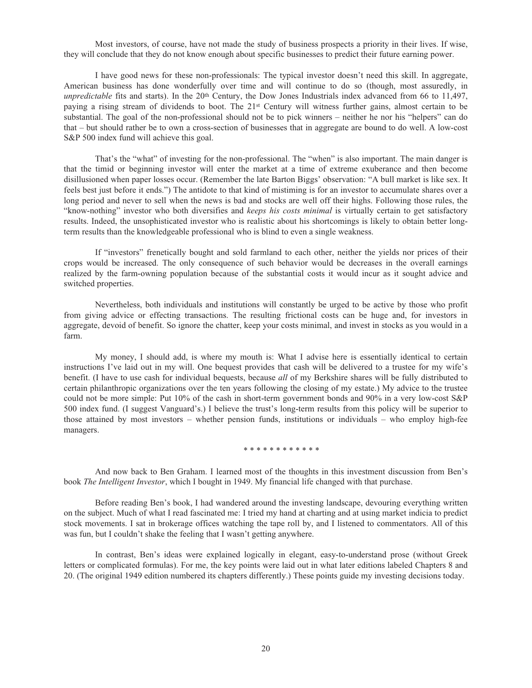Most investors, of course, have not made the study of business prospects a priority in their lives. If wise, they will conclude that they do not know enough about specific businesses to predict their future earning power.

I have good news for these non-professionals: The typical investor doesn't need this skill. In aggregate, American business has done wonderfully over time and will continue to do so (though, most assuredly, in *unpredictable* fits and starts). In the 20<sup>th</sup> Century, the Dow Jones Industrials index advanced from 66 to 11,497, paying a rising stream of dividends to boot. The 21st Century will witness further gains, almost certain to be substantial. The goal of the non-professional should not be to pick winners – neither he nor his "helpers" can do that – but should rather be to own a cross-section of businesses that in aggregate are bound to do well. A low-cost S&P 500 index fund will achieve this goal.

That's the "what" of investing for the non-professional. The "when" is also important. The main danger is that the timid or beginning investor will enter the market at a time of extreme exuberance and then become disillusioned when paper losses occur. (Remember the late Barton Biggs' observation: "A bull market is like sex. It feels best just before it ends.") The antidote to that kind of mistiming is for an investor to accumulate shares over a long period and never to sell when the news is bad and stocks are well off their highs. Following those rules, the "know-nothing" investor who both diversifies and *keeps his costs minimal* is virtually certain to get satisfactory results. Indeed, the unsophisticated investor who is realistic about his shortcomings is likely to obtain better longterm results than the knowledgeable professional who is blind to even a single weakness.

If "investors" frenetically bought and sold farmland to each other, neither the yields nor prices of their crops would be increased. The only consequence of such behavior would be decreases in the overall earnings realized by the farm-owning population because of the substantial costs it would incur as it sought advice and switched properties.

Nevertheless, both individuals and institutions will constantly be urged to be active by those who profit from giving advice or effecting transactions. The resulting frictional costs can be huge and, for investors in aggregate, devoid of benefit. So ignore the chatter, keep your costs minimal, and invest in stocks as you would in a farm.

My money, I should add, is where my mouth is: What I advise here is essentially identical to certain instructions I've laid out in my will. One bequest provides that cash will be delivered to a trustee for my wife's benefit. (I have to use cash for individual bequests, because *all* of my Berkshire shares will be fully distributed to certain philanthropic organizations over the ten years following the closing of my estate.) My advice to the trustee could not be more simple: Put 10% of the cash in short-term government bonds and 90% in a very low-cost S&P 500 index fund. (I suggest Vanguard's.) I believe the trust's long-term results from this policy will be superior to those attained by most investors – whether pension funds, institutions or individuals – who employ high-fee managers.

### \*\*\*\*\*\*\*\*\*\*

And now back to Ben Graham. I learned most of the thoughts in this investment discussion from Ben's book *The Intelligent Investor*, which I bought in 1949. My financial life changed with that purchase.

Before reading Ben's book, I had wandered around the investing landscape, devouring everything written on the subject. Much of what I read fascinated me: I tried my hand at charting and at using market indicia to predict stock movements. I sat in brokerage offices watching the tape roll by, and I listened to commentators. All of this was fun, but I couldn't shake the feeling that I wasn't getting anywhere.

In contrast, Ben's ideas were explained logically in elegant, easy-to-understand prose (without Greek letters or complicated formulas). For me, the key points were laid out in what later editions labeled Chapters 8 and 20. (The original 1949 edition numbered its chapters differently.) These points guide my investing decisions today.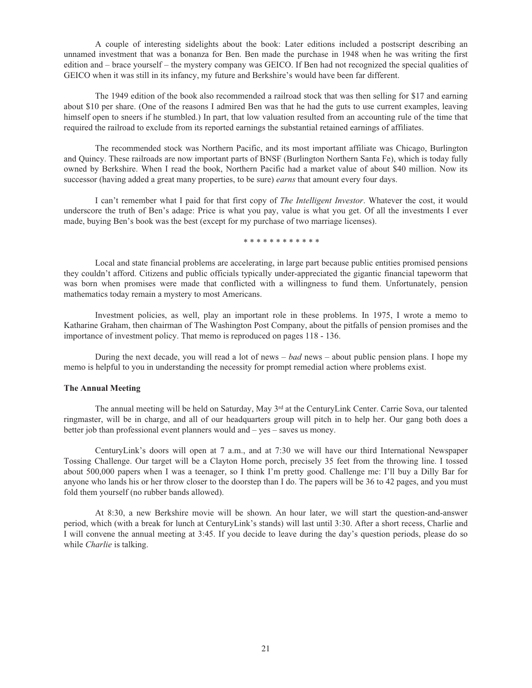A couple of interesting sidelights about the book: Later editions included a postscript describing an unnamed investment that was a bonanza for Ben. Ben made the purchase in 1948 when he was writing the first edition and – brace yourself – the mystery company was GEICO. If Ben had not recognized the special qualities of GEICO when it was still in its infancy, my future and Berkshire's would have been far different.

The 1949 edition of the book also recommended a railroad stock that was then selling for \$17 and earning about \$10 per share. (One of the reasons I admired Ben was that he had the guts to use current examples, leaving himself open to sneers if he stumbled.) In part, that low valuation resulted from an accounting rule of the time that required the railroad to exclude from its reported earnings the substantial retained earnings of affiliates.

The recommended stock was Northern Pacific, and its most important affiliate was Chicago, Burlington and Quincy. These railroads are now important parts of BNSF (Burlington Northern Santa Fe), which is today fully owned by Berkshire. When I read the book, Northern Pacific had a market value of about \$40 million. Now its successor (having added a great many properties, to be sure) *earns* that amount every four days.

I can't remember what I paid for that first copy of *The Intelligent Investor*. Whatever the cost, it would underscore the truth of Ben's adage: Price is what you pay, value is what you get. Of all the investments I ever made, buying Ben's book was the best (except for my purchase of two marriage licenses).

\*\*\*\*\*\*\*\*\*\*

Local and state financial problems are accelerating, in large part because public entities promised pensions they couldn't afford. Citizens and public officials typically under-appreciated the gigantic financial tapeworm that was born when promises were made that conflicted with a willingness to fund them. Unfortunately, pension mathematics today remain a mystery to most Americans.

Investment policies, as well, play an important role in these problems. In 1975, I wrote a memo to Katharine Graham, then chairman of The Washington Post Company, about the pitfalls of pension promises and the importance of investment policy. That memo is reproduced on pages 118 - 136.

During the next decade, you will read a lot of news – *bad* news – about public pension plans. I hope my memo is helpful to you in understanding the necessity for prompt remedial action where problems exist.

# **The Annual Meeting**

The annual meeting will be held on Saturday, May 3<sup>rd</sup> at the CenturyLink Center. Carrie Sova, our talented ringmaster, will be in charge, and all of our headquarters group will pitch in to help her. Our gang both does a better job than professional event planners would and – yes – saves us money.

CenturyLink's doors will open at 7 a.m., and at 7:30 we will have our third International Newspaper Tossing Challenge. Our target will be a Clayton Home porch, precisely 35 feet from the throwing line. I tossed about 500,000 papers when I was a teenager, so I think I'm pretty good. Challenge me: I'll buy a Dilly Bar for anyone who lands his or her throw closer to the doorstep than I do. The papers will be 36 to 42 pages, and you must fold them yourself (no rubber bands allowed).

At 8:30, a new Berkshire movie will be shown. An hour later, we will start the question-and-answer period, which (with a break for lunch at CenturyLink's stands) will last until 3:30. After a short recess, Charlie and I will convene the annual meeting at 3:45. If you decide to leave during the day's question periods, please do so while *Charlie* is talking.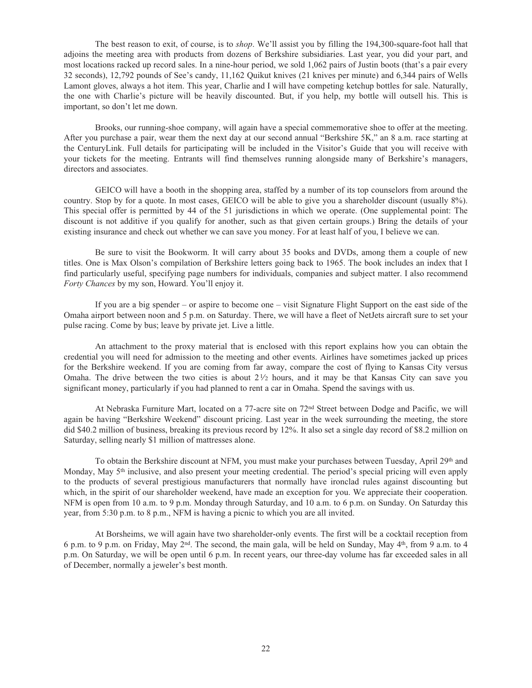The best reason to exit, of course, is to *shop*. We'll assist you by filling the 194,300-square-foot hall that adjoins the meeting area with products from dozens of Berkshire subsidiaries. Last year, you did your part, and most locations racked up record sales. In a nine-hour period, we sold 1,062 pairs of Justin boots (that's a pair every 32 seconds), 12,792 pounds of See's candy, 11,162 Quikut knives (21 knives per minute) and 6,344 pairs of Wells Lamont gloves, always a hot item. This year, Charlie and I will have competing ketchup bottles for sale. Naturally, the one with Charlie's picture will be heavily discounted. But, if you help, my bottle will outsell his. This is important, so don't let me down.

Brooks, our running-shoe company, will again have a special commemorative shoe to offer at the meeting. After you purchase a pair, wear them the next day at our second annual "Berkshire 5K," an 8 a.m. race starting at the CenturyLink. Full details for participating will be included in the Visitor's Guide that you will receive with your tickets for the meeting. Entrants will find themselves running alongside many of Berkshire's managers, directors and associates.

GEICO will have a booth in the shopping area, staffed by a number of its top counselors from around the country. Stop by for a quote. In most cases, GEICO will be able to give you a shareholder discount (usually 8%). This special offer is permitted by 44 of the 51 jurisdictions in which we operate. (One supplemental point: The discount is not additive if you qualify for another, such as that given certain groups.) Bring the details of your existing insurance and check out whether we can save you money. For at least half of you, I believe we can.

Be sure to visit the Bookworm. It will carry about 35 books and DVDs, among them a couple of new titles. One is Max Olson's compilation of Berkshire letters going back to 1965. The book includes an index that I find particularly useful, specifying page numbers for individuals, companies and subject matter. I also recommend *Forty Chances* by my son, Howard. You'll enjoy it.

If you are a big spender – or aspire to become one – visit Signature Flight Support on the east side of the Omaha airport between noon and 5 p.m. on Saturday. There, we will have a fleet of NetJets aircraft sure to set your pulse racing. Come by bus; leave by private jet. Live a little.

An attachment to the proxy material that is enclosed with this report explains how you can obtain the credential you will need for admission to the meeting and other events. Airlines have sometimes jacked up prices for the Berkshire weekend. If you are coming from far away, compare the cost of flying to Kansas City versus Omaha. The drive between the two cities is about  $2\frac{1}{2}$  hours, and it may be that Kansas City can save you significant money, particularly if you had planned to rent a car in Omaha. Spend the savings with us.

At Nebraska Furniture Mart, located on a 77-acre site on 72nd Street between Dodge and Pacific, we will again be having "Berkshire Weekend" discount pricing. Last year in the week surrounding the meeting, the store did \$40.2 million of business, breaking its previous record by 12%. It also set a single day record of \$8.2 million on Saturday, selling nearly \$1 million of mattresses alone.

To obtain the Berkshire discount at NFM, you must make your purchases between Tuesday, April 29th and Monday, May 5<sup>th</sup> inclusive, and also present your meeting credential. The period's special pricing will even apply to the products of several prestigious manufacturers that normally have ironclad rules against discounting but which, in the spirit of our shareholder weekend, have made an exception for you. We appreciate their cooperation. NFM is open from 10 a.m. to 9 p.m. Monday through Saturday, and 10 a.m. to 6 p.m. on Sunday. On Saturday this year, from 5:30 p.m. to 8 p.m., NFM is having a picnic to which you are all invited.

At Borsheims, we will again have two shareholder-only events. The first will be a cocktail reception from 6 p.m. to 9 p.m. on Friday, May 2nd. The second, the main gala, will be held on Sunday, May 4th, from 9 a.m. to 4 p.m. On Saturday, we will be open until 6 p.m. In recent years, our three-day volume has far exceeded sales in all of December, normally a jeweler's best month.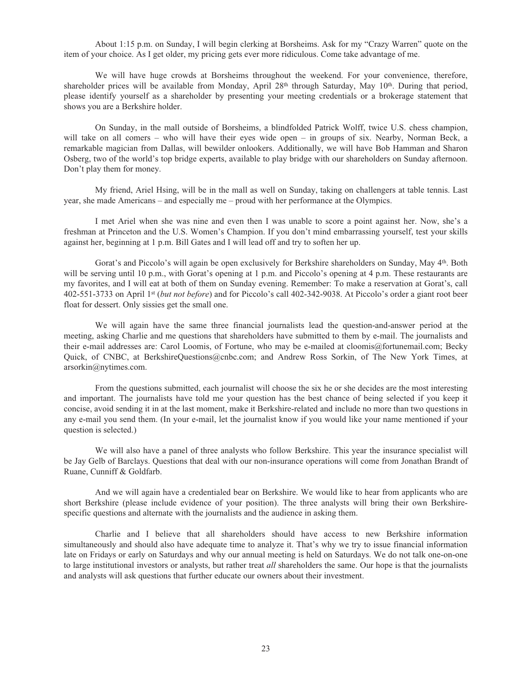About 1:15 p.m. on Sunday, I will begin clerking at Borsheims. Ask for my "Crazy Warren" quote on the item of your choice. As I get older, my pricing gets ever more ridiculous. Come take advantage of me.

We will have huge crowds at Borsheims throughout the weekend. For your convenience, therefore, shareholder prices will be available from Monday, April 28<sup>th</sup> through Saturday, May 10<sup>th</sup>. During that period, please identify yourself as a shareholder by presenting your meeting credentials or a brokerage statement that shows you are a Berkshire holder.

On Sunday, in the mall outside of Borsheims, a blindfolded Patrick Wolff, twice U.S. chess champion, will take on all comers – who will have their eyes wide open – in groups of six. Nearby, Norman Beck, a remarkable magician from Dallas, will bewilder onlookers. Additionally, we will have Bob Hamman and Sharon Osberg, two of the world's top bridge experts, available to play bridge with our shareholders on Sunday afternoon. Don't play them for money.

My friend, Ariel Hsing, will be in the mall as well on Sunday, taking on challengers at table tennis. Last year, she made Americans – and especially me – proud with her performance at the Olympics.

I met Ariel when she was nine and even then I was unable to score a point against her. Now, she's a freshman at Princeton and the U.S. Women's Champion. If you don't mind embarrassing yourself, test your skills against her, beginning at 1 p.m. Bill Gates and I will lead off and try to soften her up.

Gorat's and Piccolo's will again be open exclusively for Berkshire shareholders on Sunday, May 4th. Both will be serving until 10 p.m., with Gorat's opening at 1 p.m. and Piccolo's opening at 4 p.m. These restaurants are my favorites, and I will eat at both of them on Sunday evening. Remember: To make a reservation at Gorat's, call 402-551-3733 on April 1st (*but not before*) and for Piccolo's call 402-342-9038. At Piccolo's order a giant root beer float for dessert. Only sissies get the small one.

We will again have the same three financial journalists lead the question-and-answer period at the meeting, asking Charlie and me questions that shareholders have submitted to them by e-mail. The journalists and their e-mail addresses are: Carol Loomis, of Fortune, who may be e-mailed at cloomis@fortunemail.com; Becky Quick, of CNBC, at BerkshireQuestions@cnbc.com; and Andrew Ross Sorkin, of The New York Times, at arsorkin@nytimes.com.

From the questions submitted, each journalist will choose the six he or she decides are the most interesting and important. The journalists have told me your question has the best chance of being selected if you keep it concise, avoid sending it in at the last moment, make it Berkshire-related and include no more than two questions in any e-mail you send them. (In your e-mail, let the journalist know if you would like your name mentioned if your question is selected.)

We will also have a panel of three analysts who follow Berkshire. This year the insurance specialist will be Jay Gelb of Barclays. Questions that deal with our non-insurance operations will come from Jonathan Brandt of Ruane, Cunniff & Goldfarb.

And we will again have a credentialed bear on Berkshire. We would like to hear from applicants who are short Berkshire (please include evidence of your position). The three analysts will bring their own Berkshirespecific questions and alternate with the journalists and the audience in asking them.

Charlie and I believe that all shareholders should have access to new Berkshire information simultaneously and should also have adequate time to analyze it. That's why we try to issue financial information late on Fridays or early on Saturdays and why our annual meeting is held on Saturdays. We do not talk one-on-one to large institutional investors or analysts, but rather treat *all* shareholders the same. Our hope is that the journalists and analysts will ask questions that further educate our owners about their investment.